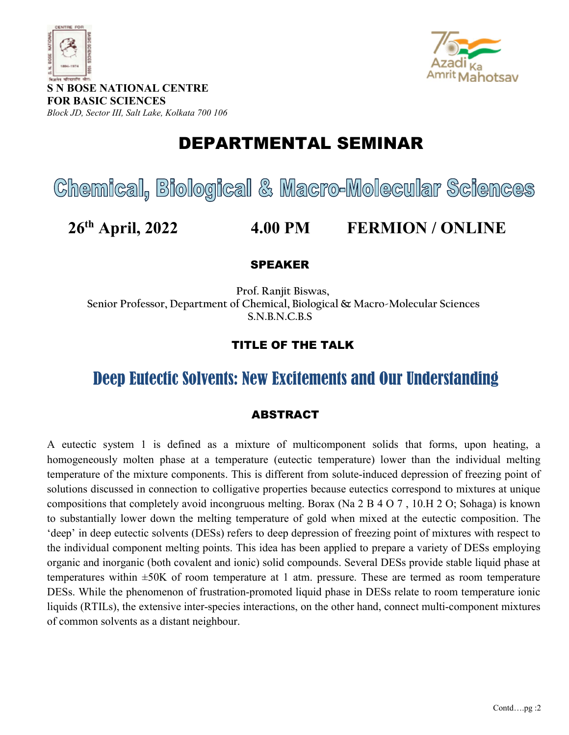



S N BOSE NATIONAL CENTRE FOR BASIC SCIENCES Block JD, Sector III, Salt Lake, Kolkata 700 106

## DEPARTMENTAL SEMINAR

# Chemical, Biological & Macro-Molecular Sciences

## 26th April, 2022 4.00 PM FERMION / ONLINE

#### SPEAKER

 Prof. Ranjit Biswas, Senior Professor, Department of Chemical, Biological & Macro-Molecular Sciences S.N.B.N.C.B.S

### TITLE OF THE TALK

## Deep Eutectic Solvents: New Excitements and Our Understanding

#### ABSTRACT

A eutectic system 1 is defined as a mixture of multicomponent solids that forms, upon heating, a homogeneously molten phase at a temperature (eutectic temperature) lower than the individual melting temperature of the mixture components. This is different from solute-induced depression of freezing point of solutions discussed in connection to colligative properties because eutectics correspond to mixtures at unique compositions that completely avoid incongruous melting. Borax (Na 2 B 4 O 7 , 10.H 2 O; Sohaga) is known to substantially lower down the melting temperature of gold when mixed at the eutectic composition. The 'deep' in deep eutectic solvents (DESs) refers to deep depression of freezing point of mixtures with respect to the individual component melting points. This idea has been applied to prepare a variety of DESs employing organic and inorganic (both covalent and ionic) solid compounds. Several DESs provide stable liquid phase at temperatures within ±50K of room temperature at 1 atm. pressure. These are termed as room temperature DESs. While the phenomenon of frustration-promoted liquid phase in DESs relate to room temperature ionic liquids (RTILs), the extensive inter-species interactions, on the other hand, connect multi-component mixtures of common solvents as a distant neighbour.